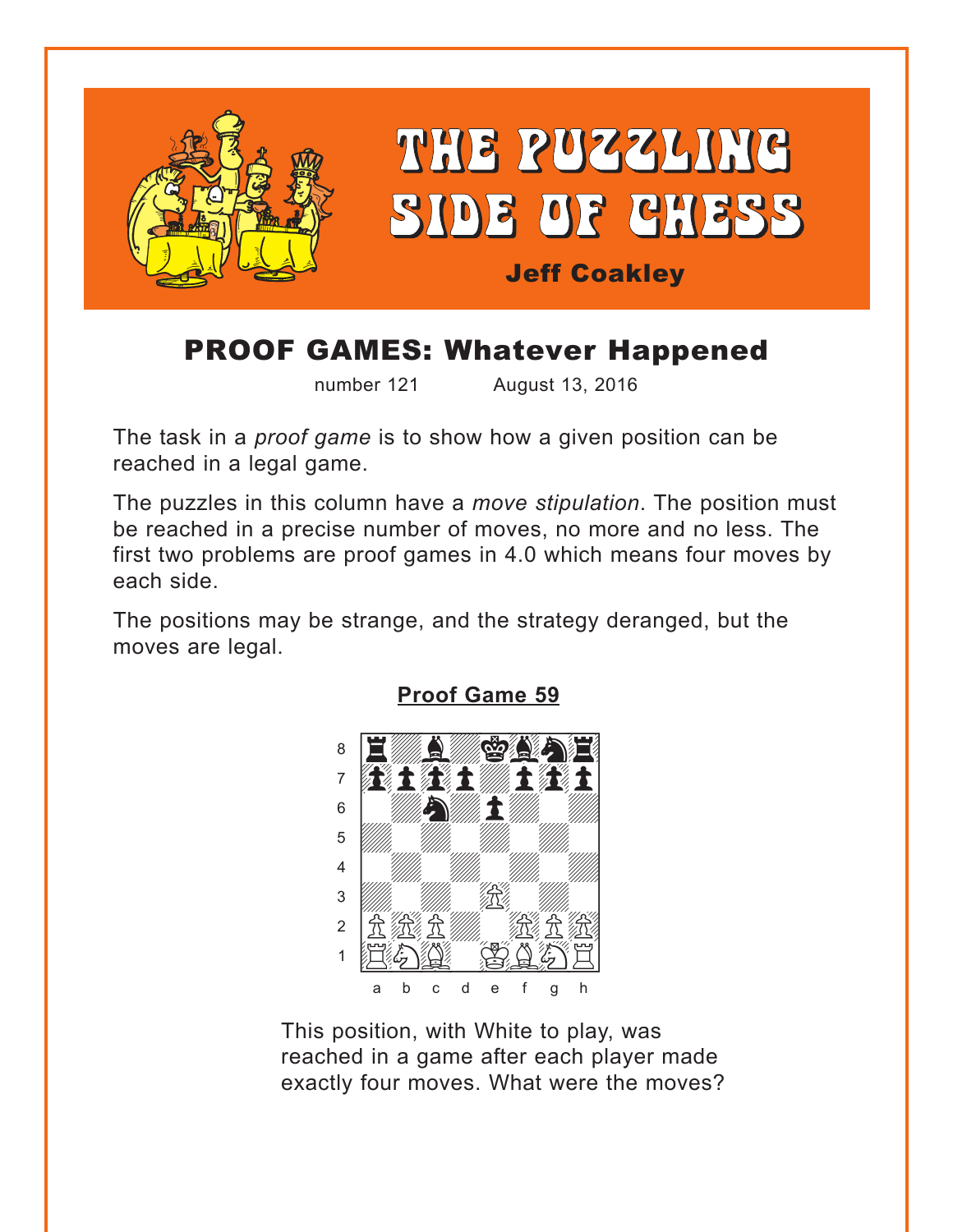<span id="page-0-0"></span>

# **PROOF GAMES: Whatever Happened**

number 121

August 13, 2016

The task in a *proof game* is to show how a given position can be reached in a legal game.

The puzzles in this column have a move stipulation. The position must be reached in a precise number of moves, no more and no less. The first two problems are proof games in 4.0 which means four moves by each side.

The positions may be strange, and the strategy deranged, but the moves are legal.



**Proof Game 59** 

This position, with White to play, was reached in a game after each player made exactly four moves. What were the moves?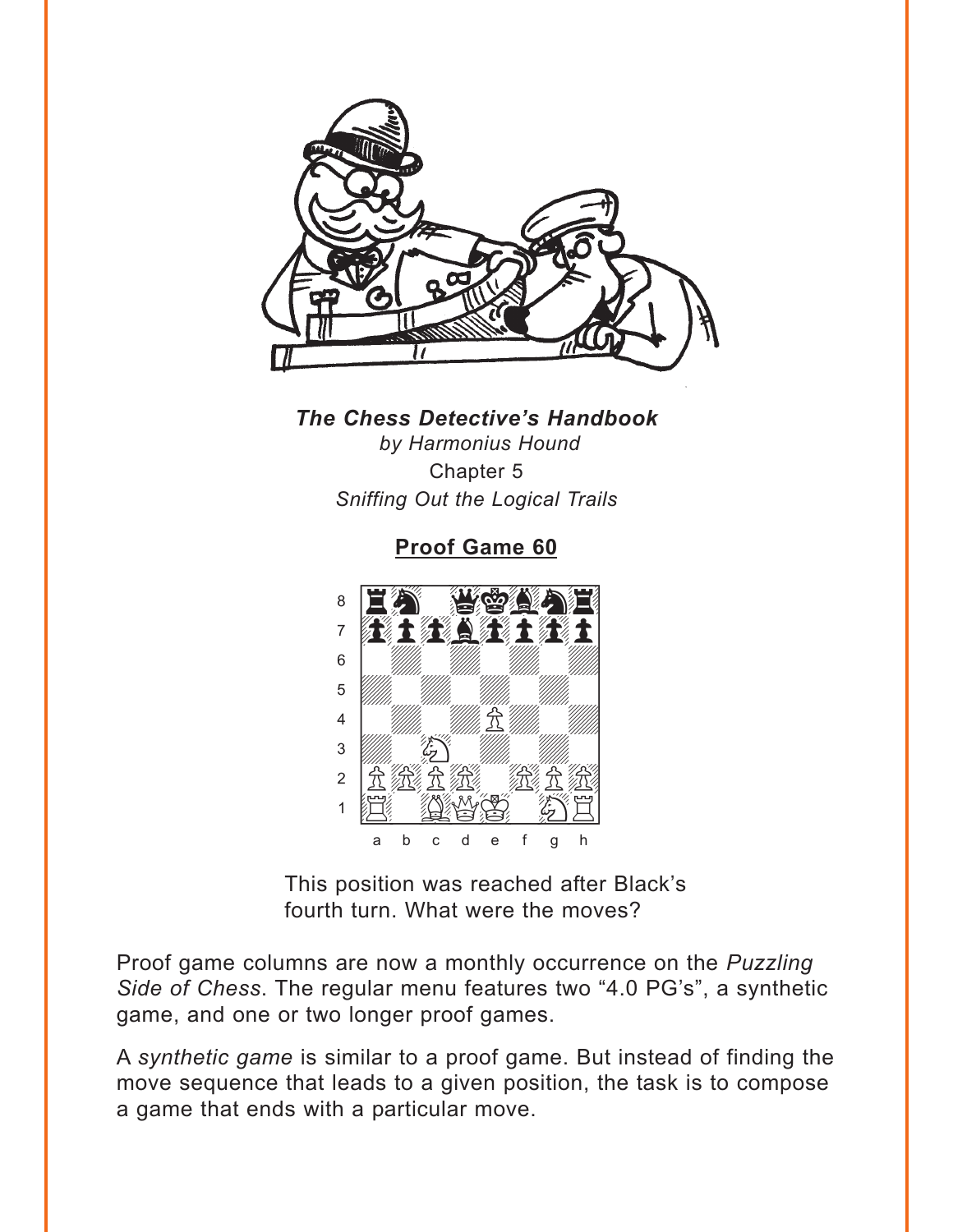<span id="page-1-0"></span>

### **The Chess Detective's Handbook** by Harmonius Hound Chapter 5 Sniffing Out the Logical Trails

Proof Game 60



This position was reached after Black's fourth turn. What were the moves?

Proof game columns are now a monthly occurrence on the Puzzling Side of Chess. The regular menu features two "4.0 PG's", a synthetic game, and one or two longer proof games.

A synthetic game is similar to a proof game. But instead of finding the move sequence that leads to a given position, the task is to compose a game that ends with a particular move.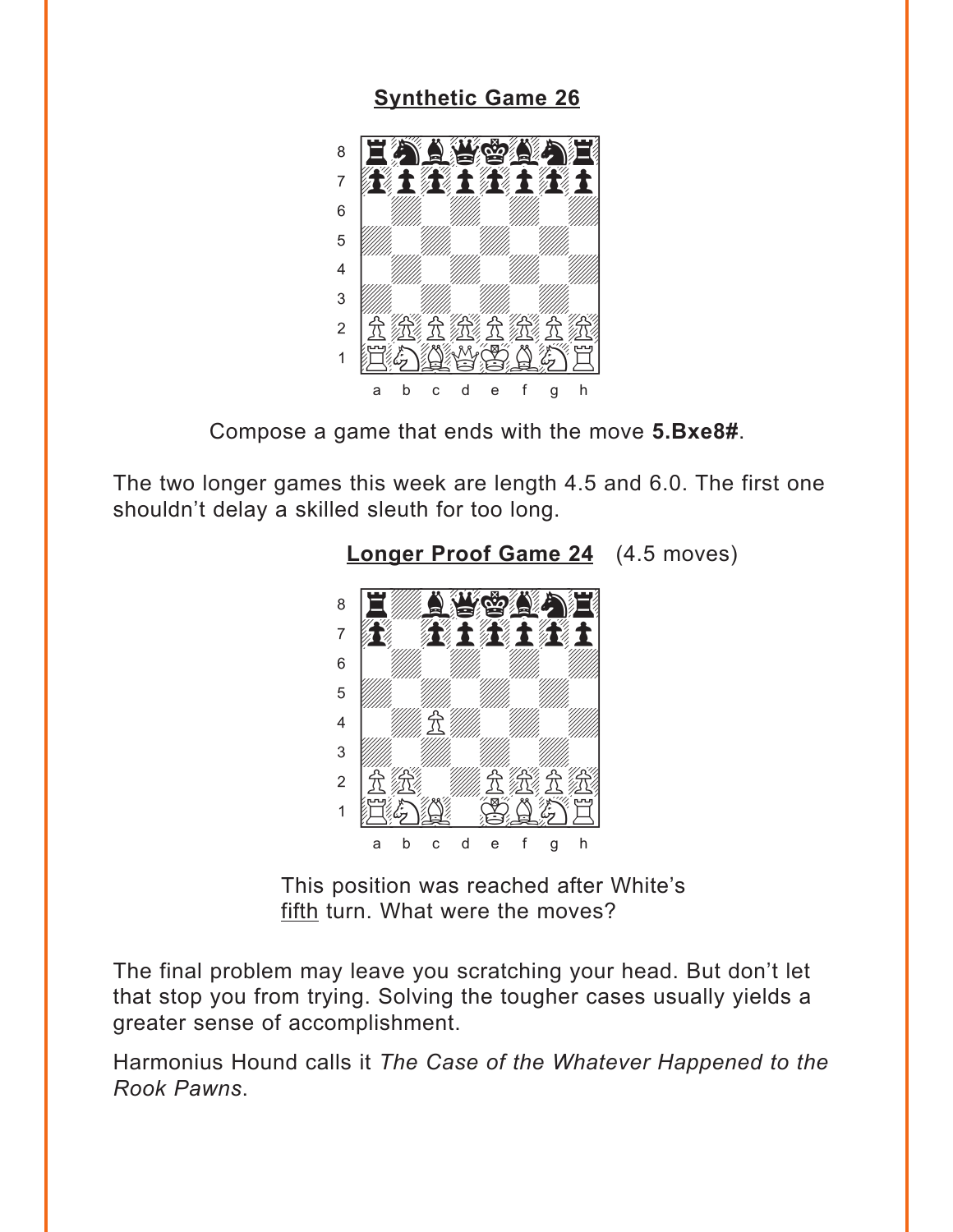### **Synthetic Game 26**

<span id="page-2-0"></span>

Compose a game that ends with the move 5.Bxe8#.

The two longer games this week are length 4.5 and 6.0. The first one shouldn't delay a skilled sleuth for too long.



**Longer Proof Game 24** (4.5 moves)

This position was reached after White's fifth turn. What were the moves?

The final problem may leave you scratching your head. But don't let that stop you from trying. Solving the tougher cases usually yields a greater sense of accomplishment.

Harmonius Hound calls it The Case of the Whatever Happened to the Rook Pawns.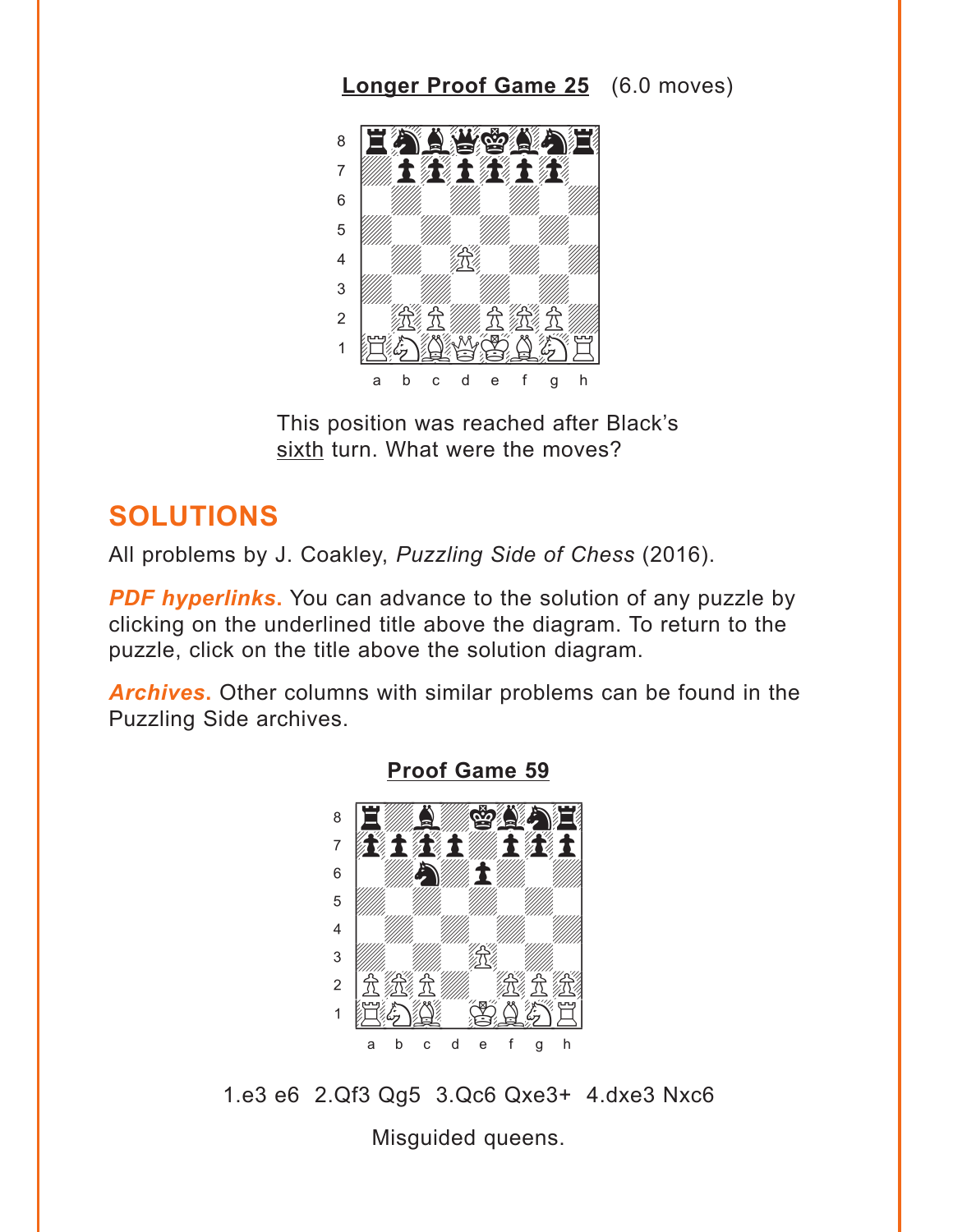## **Longer Proof Game 25** (6.0 moves)

<span id="page-3-0"></span>

This position was reached after Black's sixth turn. What were the moves?

## **SOLUTIONS**

All problems by J. Coakley, Puzzling Side of Chess (2016).

**PDF hyperlinks.** You can advance to the solution of any puzzle by clicking on the underlined title above the diagram. To return to the puzzle, click on the title above the solution diagram.

**Archives.** Other columns with similar problems can be found in the Puzzling Side archives.



#### **Proof Game 59**

1.e3 e6 2.Qf3 Qg5 3.Qc6 Qxe3+ 4.dxe3 Nxc6

Misguided queens.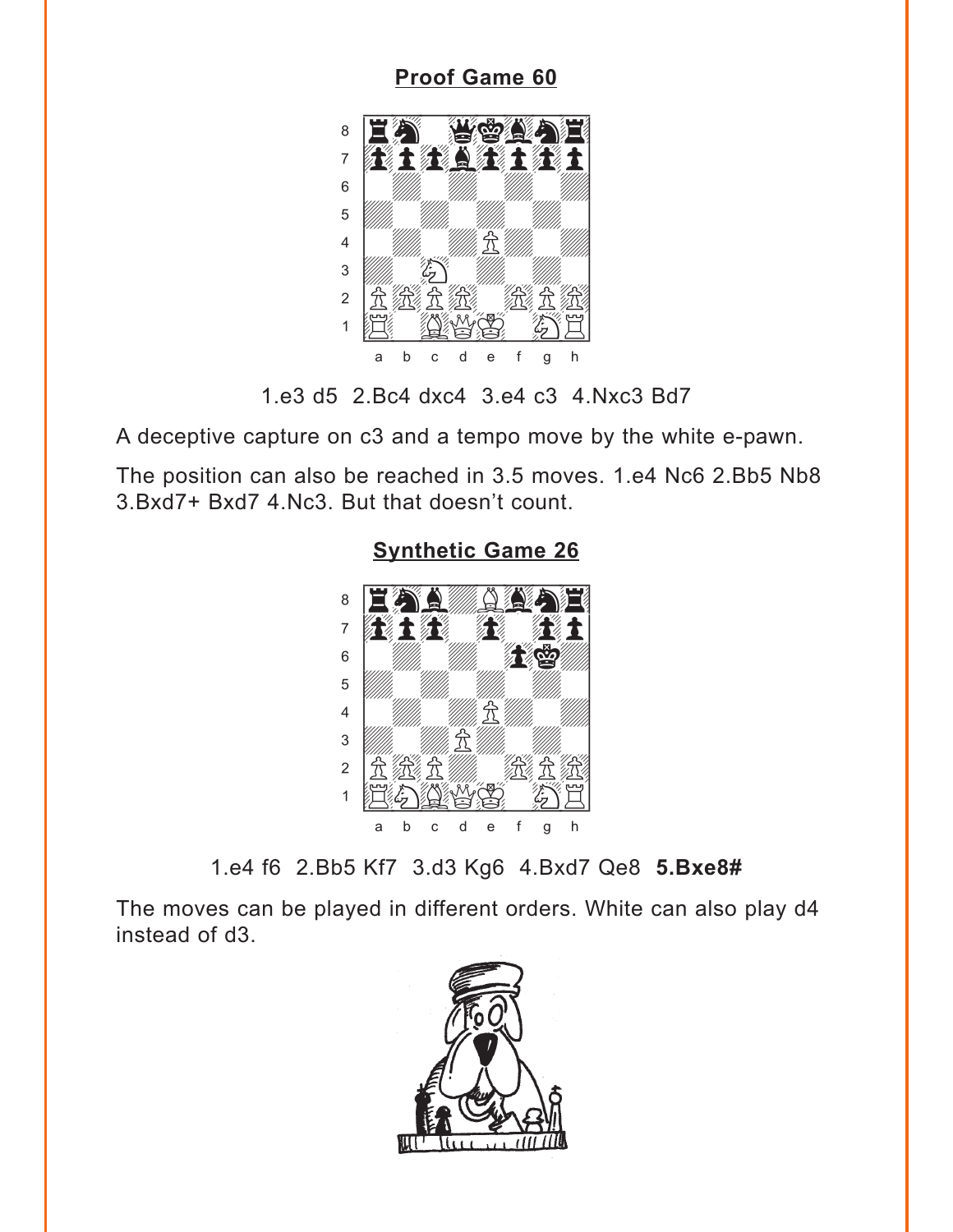### **[Proof Game 60](#page-1-0)**

<span id="page-4-0"></span>

1.e3 d5 2.Bc4 dxc4 3.e4 c3 4.Nxc3 Bd7

A deceptive capture on c3 and a tempo move by the white e-pawn.

The position can also be reached in 3.5 moves. 1.e4 Nc6 2.Bb5 Nb8 3.Bxd7+ Bxd7 4.Nc3. But that doesn't count.



### **[Synthetic Game 26](#page-2-0)**

1.e4 f6 2.Bb5 Kf7 3.d3 Kg6 4.Bxd7 Qe8 **5.Bxe8#**

The moves can be played in different orders. White can also play d4 instead of d3.